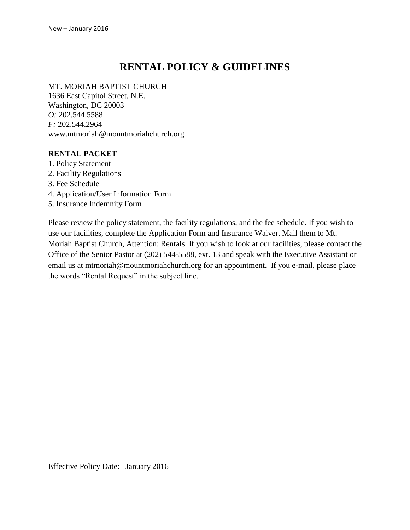# **RENTAL POLICY & GUIDELINES**

#### MT. MORIAH BAPTIST CHURCH

1636 East Capitol Street, N.E. Washington, DC 20003 *O:* 202.544.5588 *F:* 202.544.2964 www[.mtmoriah@mountmoriahchurch.](mailto:mtmoriah@mountmoriahchurch.org)org

#### **RENTAL PACKET**

- 1. Policy Statement
- 2. Facility Regulations
- 3. Fee Schedule
- 4. Application/User Information Form
- 5. Insurance Indemnity Form

Please review the policy statement, the facility regulations, and the fee schedule. If you wish to use our facilities, complete the Application Form and Insurance Waiver. Mail them to Mt. Moriah Baptist Church, Attention: Rentals. If you wish to look at our facilities, please contact the Office of the Senior Pastor at (202) 544-5588, ext. 13 and speak with the Executive Assistant or email us at [mtmoriah@mountmoriahchurch.](mailto:mtmoriah@mountmoriahchurch.org)org for an appointment. If you e-mail, please place the words "Rental Request" in the subject line.

Effective Policy Date: January 2016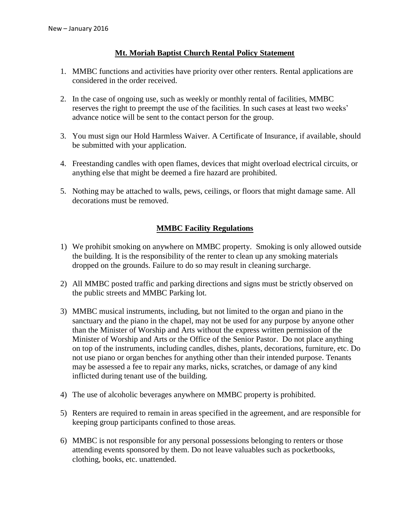## **Mt. Moriah Baptist Church Rental Policy Statement**

- 1. MMBC functions and activities have priority over other renters. Rental applications are considered in the order received.
- 2. In the case of ongoing use, such as weekly or monthly rental of facilities, MMBC reserves the right to preempt the use of the facilities. In such cases at least two weeks' advance notice will be sent to the contact person for the group.
- 3. You must sign our Hold Harmless Waiver. A Certificate of Insurance, if available, should be submitted with your application.
- 4. Freestanding candles with open flames, devices that might overload electrical circuits, or anything else that might be deemed a fire hazard are prohibited.
- 5. Nothing may be attached to walls, pews, ceilings, or floors that might damage same. All decorations must be removed.

## **MMBC Facility Regulations**

- 1) We prohibit smoking on anywhere on MMBC property. Smoking is only allowed outside the building. It is the responsibility of the renter to clean up any smoking materials dropped on the grounds. Failure to do so may result in cleaning surcharge.
- 2) All MMBC posted traffic and parking directions and signs must be strictly observed on the public streets and MMBC Parking lot.
- 3) MMBC musical instruments, including, but not limited to the organ and piano in the sanctuary and the piano in the chapel, may not be used for any purpose by anyone other than the Minister of Worship and Arts without the express written permission of the Minister of Worship and Arts or the Office of the Senior Pastor. Do not place anything on top of the instruments, including candles, dishes, plants, decorations, furniture, etc. Do not use piano or organ benches for anything other than their intended purpose. Tenants may be assessed a fee to repair any marks, nicks, scratches, or damage of any kind inflicted during tenant use of the building.
- 4) The use of alcoholic beverages anywhere on MMBC property is prohibited.
- 5) Renters are required to remain in areas specified in the agreement, and are responsible for keeping group participants confined to those areas.
- 6) MMBC is not responsible for any personal possessions belonging to renters or those attending events sponsored by them. Do not leave valuables such as pocketbooks, clothing, books, etc. unattended.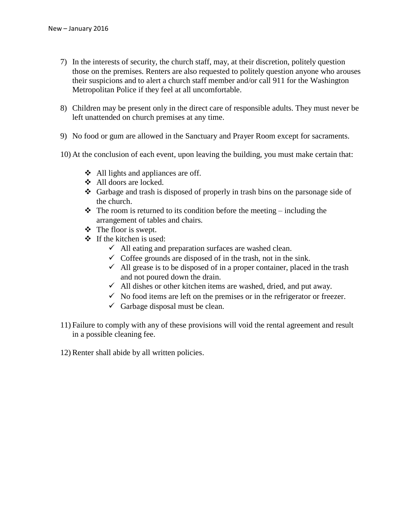- 7) In the interests of security, the church staff, may, at their discretion, politely question those on the premises. Renters are also requested to politely question anyone who arouses their suspicions and to alert a church staff member and/or call 911 for the Washington Metropolitan Police if they feel at all uncomfortable.
- 8) Children may be present only in the direct care of responsible adults. They must never be left unattended on church premises at any time.
- 9) No food or gum are allowed in the Sanctuary and Prayer Room except for sacraments.
- 10) At the conclusion of each event, upon leaving the building, you must make certain that:
	- **❖** All lights and appliances are off.
	- All doors are locked.
	- Garbage and trash is disposed of properly in trash bins on the parsonage side of the church.
	- $\triangle$  The room is returned to its condition before the meeting including the arrangement of tables and chairs.
	- $\div$  The floor is swept.
	- $\div$  If the kitchen is used:
		- $\checkmark$  All eating and preparation surfaces are washed clean.
		- $\checkmark$  Coffee grounds are disposed of in the trash, not in the sink.
		- $\checkmark$  All grease is to be disposed of in a proper container, placed in the trash and not poured down the drain.
		- $\checkmark$  All dishes or other kitchen items are washed, dried, and put away.
		- $\checkmark$  No food items are left on the premises or in the refrigerator or freezer.
		- $\checkmark$  Garbage disposal must be clean.
- 11) Failure to comply with any of these provisions will void the rental agreement and result in a possible cleaning fee.
- 12)Renter shall abide by all written policies.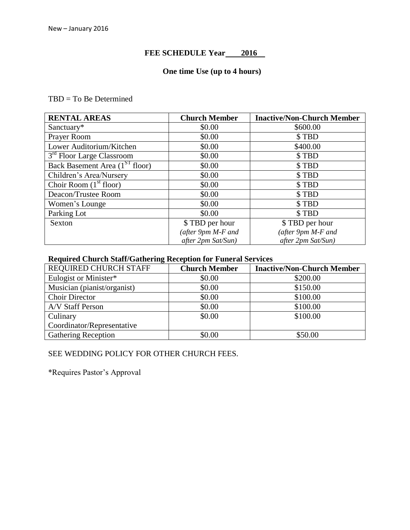## FEE SCHEDULE Year **2016**

## **One time Use (up to 4 hours)**

#### TBD = To Be Determined

| <b>RENTAL AREAS</b>                        | <b>Church Member</b> | <b>Inactive/Non-Church Member</b> |
|--------------------------------------------|----------------------|-----------------------------------|
| Sanctuary*                                 | \$0.00               | \$600.00                          |
| Prayer Room                                | \$0.00               | \$TBD                             |
| Lower Auditorium/Kitchen                   | \$0.00               | \$400.00                          |
| 3 <sup>rd</sup> Floor Large Classroom      | \$0.00               | \$TBD                             |
| Back Basement Area (1 <sup>ST</sup> floor) | \$0.00               | \$TBD                             |
| Children's Area/Nursery                    | \$0.00               | \$TBD                             |
| Choir Room $(1st$ floor)                   | \$0.00               | \$TBD                             |
| Deacon/Trustee Room                        | \$0.00               | \$TBD                             |
| Women's Lounge                             | \$0.00               | \$TBD                             |
| Parking Lot                                | \$0.00               | \$TBD                             |
| Sexton                                     | \$ TBD per hour      | \$TBD per hour                    |
|                                            | (after 9pm M-F and   | (after 9pm M-F and                |
|                                            | after 2pm Sat/Sun)   | after 2pm Sat/Sun)                |

# **Required Church Staff/Gathering Reception for Funeral Services**

| REQUIRED CHURCH STAFF       | <b>Church Member</b> | <b>Inactive/Non-Church Member</b> |
|-----------------------------|----------------------|-----------------------------------|
| Eulogist or Minister*       | \$0.00               | \$200.00                          |
| Musician (pianist/organist) | \$0.00               | \$150.00                          |
| <b>Choir Director</b>       | \$0.00               | \$100.00                          |
| A/V Staff Person            | \$0.00               | \$100.00                          |
| Culinary                    | \$0.00               | \$100.00                          |
| Coordinator/Representative  |                      |                                   |
| <b>Gathering Reception</b>  | \$0.00               | \$50.00                           |

## SEE WEDDING POLICY FOR OTHER CHURCH FEES.

\*Requires Pastor's Approval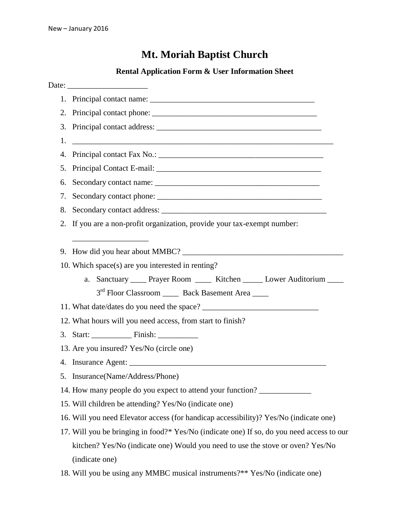# **Mt. Moriah Baptist Church**

|    | <b>Rental Application Form &amp; User Information Sheet</b>                                                           |  |  |  |
|----|-----------------------------------------------------------------------------------------------------------------------|--|--|--|
|    |                                                                                                                       |  |  |  |
|    |                                                                                                                       |  |  |  |
|    |                                                                                                                       |  |  |  |
|    |                                                                                                                       |  |  |  |
| 1. | <u> 1989 - Jan Barnett, fransk kongresu i skuest og det forskeller og det forskeller og det forskeller og det for</u> |  |  |  |
|    |                                                                                                                       |  |  |  |
|    |                                                                                                                       |  |  |  |
| 6. |                                                                                                                       |  |  |  |
| 7. |                                                                                                                       |  |  |  |
| 8. |                                                                                                                       |  |  |  |
|    | 2. If you are a non-profit organization, provide your tax-exempt number:                                              |  |  |  |
|    |                                                                                                                       |  |  |  |
|    | 9. How did you hear about MMBC?                                                                                       |  |  |  |
|    | 10. Which space(s) are you interested in renting?                                                                     |  |  |  |
|    | a. Sanctuary _____ Prayer Room ______ Kitchen ______ Lower Auditorium _____                                           |  |  |  |
|    | 3 <sup>rd</sup> Floor Classroom _____ Back Basement Area ____                                                         |  |  |  |
|    |                                                                                                                       |  |  |  |
|    | 12. What hours will you need access, from start to finish?                                                            |  |  |  |
|    |                                                                                                                       |  |  |  |
|    | 13. Are you insured? Yes/No (circle one)                                                                              |  |  |  |
|    | 4. Insurance Agent:                                                                                                   |  |  |  |
|    | 5. Insurance(Name/Address/Phone)                                                                                      |  |  |  |
|    | 14. How many people do you expect to attend your function?                                                            |  |  |  |
|    | 15. Will children be attending? Yes/No (indicate one)                                                                 |  |  |  |
|    | 16. Will you need Elevator access (for handicap accessibility)? Yes/No (indicate one)                                 |  |  |  |
|    | 17. Will you be bringing in food?* Yes/No (indicate one) If so, do you need access to our                             |  |  |  |
|    | kitchen? Yes/No (indicate one) Would you need to use the stove or oven? Yes/No                                        |  |  |  |
|    | (indicate one)                                                                                                        |  |  |  |
|    | 18. Will you be using any MMBC musical instruments?** Yes/No (indicate one)                                           |  |  |  |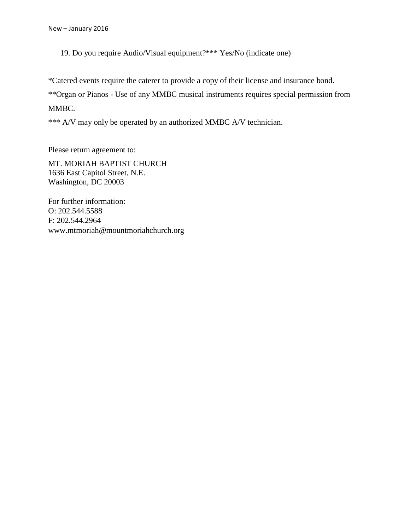19. Do you require Audio/Visual equipment?\*\*\* Yes/No (indicate one)

\*Catered events require the caterer to provide a copy of their license and insurance bond.

\*\*Organ or Pianos - Use of any MMBC musical instruments requires special permission from

MMBC.

\*\*\* A/V may only be operated by an authorized MMBC A/V technician.

Please return agreement to:

MT. MORIAH BAPTIST CHURCH 1636 East Capitol Street, N.E. Washington, DC 20003

For further information: O: 202.544.5588 F: 202.544.2964 www.mtmoriah@mountmoriahchurch.org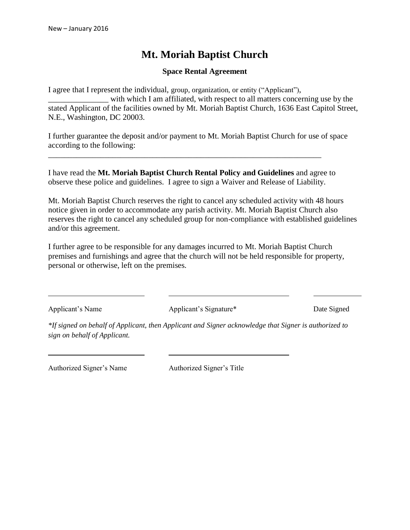# **Mt. Moriah Baptist Church**

#### **Space Rental Agreement**

I agree that I represent the individual, group, organization, or entity ("Applicant"), with which I am affiliated, with respect to all matters concerning use by the stated Applicant of the facilities owned by Mt. Moriah Baptist Church, 1636 East Capitol Street, N.E., Washington, DC 20003.

I further guarantee the deposit and/or payment to Mt. Moriah Baptist Church for use of space according to the following:

I have read the **Mt. Moriah Baptist Church Rental Policy and Guidelines** and agree to observe these police and guidelines. I agree to sign a Waiver and Release of Liability.

\_\_\_\_\_\_\_\_\_\_\_\_\_\_\_\_\_\_\_\_\_\_\_\_\_\_\_\_\_\_\_\_\_\_\_\_\_\_\_\_\_\_\_\_\_\_\_\_\_\_\_\_\_\_\_\_\_\_\_\_\_\_\_\_\_\_\_\_

Mt. Moriah Baptist Church reserves the right to cancel any scheduled activity with 48 hours notice given in order to accommodate any parish activity. Mt. Moriah Baptist Church also reserves the right to cancel any scheduled group for non-compliance with established guidelines and/or this agreement.

I further agree to be responsible for any damages incurred to Mt. Moriah Baptist Church premises and furnishings and agree that the church will not be held responsible for property, personal or otherwise, left on the premises.

Applicant's Name Applicant's Signature\* Date Signed

*\*If signed on behalf of Applicant, then Applicant and Signer acknowledge that Signer is authorized to sign on behalf of Applicant.*

Authorized Signer's Name Authorized Signer's Title